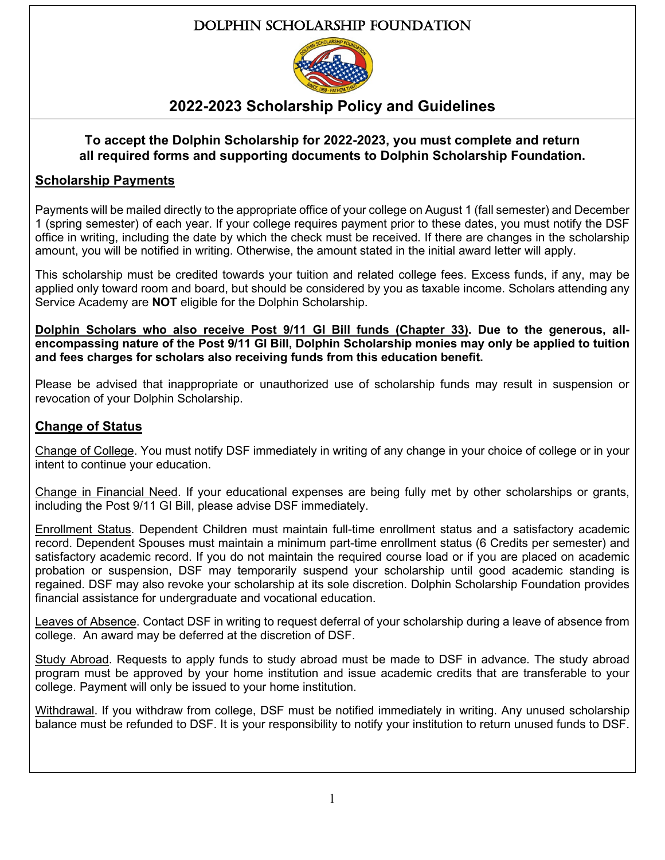# Dolphin Scholarship Foundation



# **2022-2023 Scholarship Policy and Guidelines**

#### **To accept the Dolphin Scholarship for 2022-2023, you must complete and return all required forms and supporting documents to Dolphin Scholarship Foundation.**

# **Scholarship Payments**

Payments will be mailed directly to the appropriate office of your college on August 1 (fall semester) and December 1 (spring semester) of each year. If your college requires payment prior to these dates, you must notify the DSF office in writing, including the date by which the check must be received. If there are changes in the scholarship amount, you will be notified in writing. Otherwise, the amount stated in the initial award letter will apply.

This scholarship must be credited towards your tuition and related college fees. Excess funds, if any, may be applied only toward room and board, but should be considered by you as taxable income. Scholars attending any Service Academy are **NOT** eligible for the Dolphin Scholarship.

**Dolphin Scholars who also receive Post 9/11 GI Bill funds (Chapter 33). Due to the generous, allencompassing nature of the Post 9/11 GI Bill, Dolphin Scholarship monies may only be applied to tuition and fees charges for scholars also receiving funds from this education benefit.**

Please be advised that inappropriate or unauthorized use of scholarship funds may result in suspension or revocation of your Dolphin Scholarship.

# **Change of Status**

Change of College. You must notify DSF immediately in writing of any change in your choice of college or in your intent to continue your education.

Change in Financial Need. If your educational expenses are being fully met by other scholarships or grants, including the Post 9/11 GI Bill, please advise DSF immediately.

Enrollment Status. Dependent Children must maintain full-time enrollment status and a satisfactory academic record. Dependent Spouses must maintain a minimum part-time enrollment status (6 Credits per semester) and satisfactory academic record. If you do not maintain the required course load or if you are placed on academic probation or suspension, DSF may temporarily suspend your scholarship until good academic standing is regained. DSF may also revoke your scholarship at its sole discretion. Dolphin Scholarship Foundation provides financial assistance for undergraduate and vocational education.

Leaves of Absence. Contact DSF in writing to request deferral of your scholarship during a leave of absence from college. An award may be deferred at the discretion of DSF.

Study Abroad. Requests to apply funds to study abroad must be made to DSF in advance. The study abroad program must be approved by your home institution and issue academic credits that are transferable to your college. Payment will only be issued to your home institution.

Withdrawal. If you withdraw from college, DSF must be notified immediately in writing. Any unused scholarship balance must be refunded to DSF. It is your responsibility to notify your institution to return unused funds to DSF.